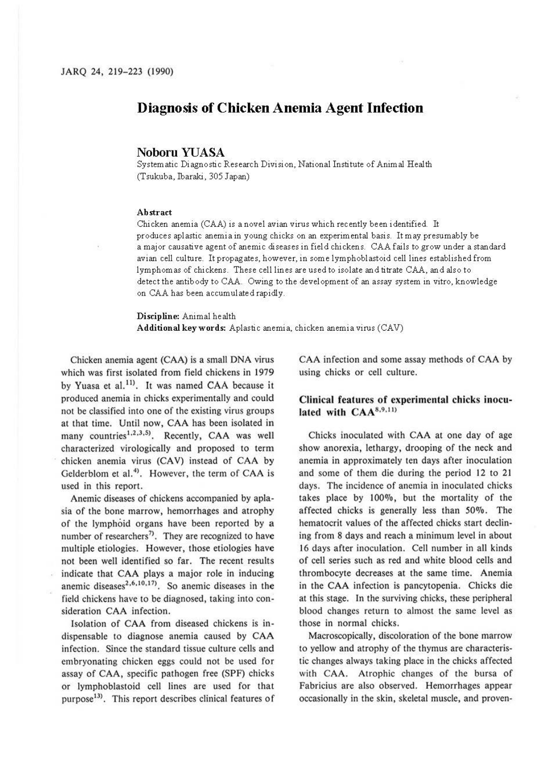# **Diagnosis of Chicken Anemia Agent Infection**

## **Noboru YUASA**

Systematic Diagnostic Research Division, National Institute of Animal Health (Tsukuba, Ibaraki, 305 Japan)

### **Abstract**

Chicken anemia (CAA) is a novel avian virus which recently been identified. It produces aplastic anemia in young chicks on an experimental basis. It may presumably be a major causative agent of anemic diseases in field chickens. CAA fails to grow under a standard avian cell culture. It propagates, however, in some lymphoblastoid cell lines established from lymphomas of chickens. These cell lines are used to isolate and titrate CAA, and also to detect the antibody to CAA. Owing to the development of an assay system in vitro, knowledge on CAA has been accumulated rapidly.

**Discipline:** Animal health **Additional keywords:** Aplastic anemia, chicken anemia virus (CAV)

Chicken anemia agent (CAA) is a small DNA virus which was first isolated from field chickens in 1979 by Yuasa et al.<sup>11)</sup>. It was named CAA because it produced anemia in chicks experimentally and could not be classified into one of the existing virus groups at that time. Until now, CAA has been isolated in many countries<sup>1,2,3,5)</sup>. Recently, CAA was well characterized virologically and proposed to term chicken anemia virus (CAV) instead of CAA by Gelderblom et al. $<sup>4</sup>$ . However, the term of CAA is</sup> used in this report.

Anemic diseases of chickens accompanied by apla. sia of the bone marrow, hemorrhages and atrophy of the lymphoid organs have been reported by a number of researchers<sup>7</sup>. They are recognized to have multiple etiologies. However, those etiologies have not been well identified so far. The recent results indicate that CAA plays a major role in inducing anemic diseases<sup>2,6,10,17</sup>. So anemic diseases in the field chickens have to be diagnosed, taking into consideration CAA infection.

Isolation of CAA from diseased chickens is indispensable to diagnose anemia caused by CAA infection. Since the standard tissue culture cells and embryonating chicken eggs could not be used for assay of CAA, specific pathogen free (SPF) chicks or lymphoblastoid cell lines are used for that purpose<sup>13)</sup>. This report describes clinical features of CAA infection and some assay methods of CAA by using chicks or cell culture.

## **Clinical features of experimental chicks inocu**lated with CAA<sup>8,9,11)</sup>

Chicks inoculated with CAA at one day of age show anorexia, lethargy, drooping of the neck and anemia in approximately ten days after inoculation and some of them die during the period 12 to 21 days. The incidence of anemia in inoculated chicks takes place by 100%, but the mortality of the affected chicks is generally less than 50%. The hematocrit values of the affected chicks start declining from 8 days and reach a minimum level in about 16 days after inoculation. Cell number in all kinds of cell series such as red and white blood cells and thrombocyte decreases at the same time. Anemia in the CAA infection is pancytopenia. Chicks die at this stage. In the surviving chicks, these peripheral blood changes return to almost the same level as those in normal chicks.

Macroscopically, discoloration of the bone marrow to yellow and atrophy of the thymus are characteristic changes always taking place in the chicks affected with CAA. Atrophic changes of the bursa of Fabricius are also observed. Hemorrhages appear occasionally in the skin, skeletal muscle, and proven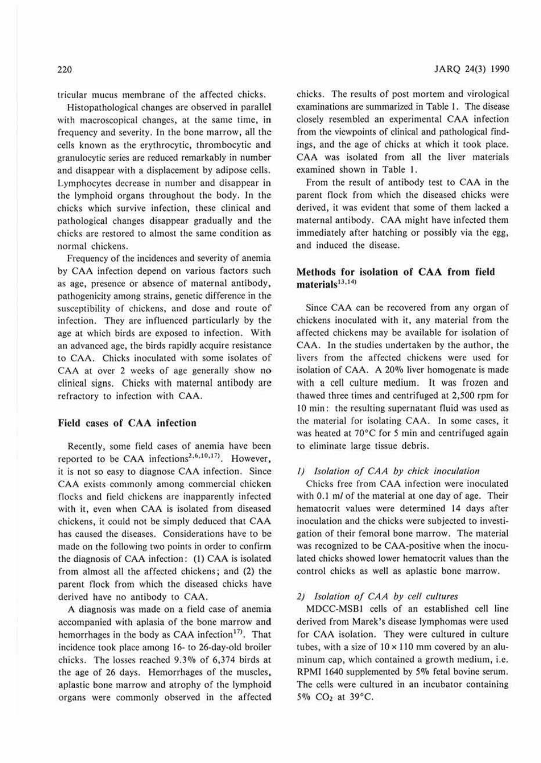tricular mucus membrane or the affected chicks.

Histopathological changes are observed in parallel with macroscopical changes, at the same time, in frequency and severity. In the bone marrow, all the cells known as the erythrocytic, thrombocytic and granulocytic series are reduced remarkably in number and disappear with a displacement by adipose cells. Lymphocytes decrease in number and disappear in the lymphoid organs throughout the body. In the chicks which survive infection, these clinical and pathological changes disappear gradually and the chicks arc restored to almost the same condition as normal chickens.

Frequency of the incidences and severity of anemia by CAA infection depend on various factors such as age, presence or absence of maternal antibody, pathogenicity among strains, genetic difference in the susceptibility of chickens. and dose and route of infection. They are influenced particularly by the age at which birds are exposed to infection. With an advanced age, the birds rapidly acquire resistance <sup>10</sup>CAA. Chicks inoculated with some isolates of CAA at over 2 weeks of age generally show no clinical signs. Chicks with maternal antibody are refractory to infection with CAA.

### **Field** cases **of CAA infection**

Recently, some field cases of anemia have been reported to be CAA infections<sup>2,6,10,17)</sup>. However, it is not so easy to diagnose CAA infection. Since CAA exists commonly among commercial chicken flocks and field chickens are inapparently infected with it, even when CAA is isolated from diseased chickens, it could not be simply deduced that CAA has caused the diseases. Considerations have to be made on the following two points in order 10 confirm the diagnosis or CAA infection; (l) CAA is isolated from almost all the affected chickens; and (2) the parent flock from which the diseased chicks have derived have no antibody to CAA.

A diagnosis was made on a field case of anemia accompanied with aplasia of the bone marrow and hemorrhages in the body as CAA infection<sup>17)</sup>. That incidence t0ok place among 16- to 26-day-old broiler chicks. The losses reached 9.30/o of 6,374 birds at the age of 26 days. Hemorrhages of the muscles, aplastic bone marrow and atrophy of the lymphoicl organs were commonly observed in the affected chicks. The results of post mortem and virological examinations are summarized in Table I. The disease closely resembled an experimental CAA infection from the viewpoints of clinical and pathological findings, and the age of chicks at which it took place. CAA was isolated from all the liver materials examined shown in Table I.

From the result of antibody test 10 CAA in the parent flock from which the diseased chicks were derived, it was evident that some of them lacked a maternal antibody. CAA might have infected them immediately after hatching or possibly via the egg, and induced the disease.

### **Methods for isolation of CAA from field materials 13• 14>**

Since CAA can be recovered from any organ of chickens inoculated with it, any material from the affected chickens may be available for isolation of CAA. In the studies undertaken by the author, the livers from the affected chickens were used for isolation of CAA. A 20% liver homogenate is made with a cell culture medium. It was frozen and thawed three times and centrifuged at 2,500 rpm for 10 min: the resulting supernatant fluid was used as the material for isolating CAA. In some cases, it was heated at 70°C for *5* min and centrifuged again to eliminate large tissue debris.

### *I)* Isolation of CAA by chick inoculation

Chicks free from CAA infection were inoculated with 0.1 m/ of the material at one day of age. Their hematocrit values were determined **14** days after inoculation and the chicks were subjected to investigation of their femoral bone marrow. The material was recognized to be CAA-positive when the inoculated chicks showed lower hematocrit values than the control chicks as well as aplastic bone marrow.

#### *2) Isolation of CAA by cell cultures*

MDCC-MSBI cells or an established cell line derived from Marek 's disease lymphomas were used for CAA isolation. They were cultured in culture tubes, with a size of  $10 \times 110$  mm covered by an aluminum cap, which comained a growth medium, i.e. RPMI 1640 supplemented by 5% fetal bovine serum. The cells were cultured in an incubator containing 5% CO<sub>2</sub> at 39°C.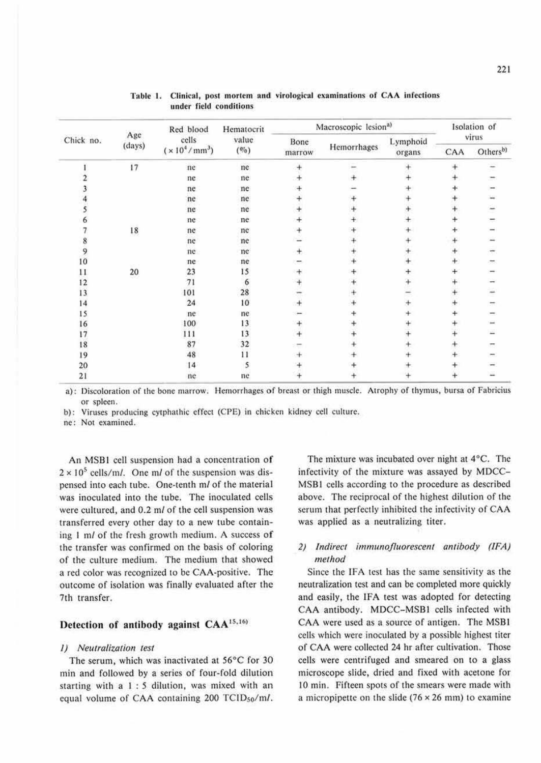| Chick no.       | Age<br>(days) | Red blood<br>cells<br>$(x 10^4 / mm^3)$ | Hematocrit<br>value<br>(0/0) | Macroscopic lesion <sup>a)</sup> |             |                    | Isolation of |                      |
|-----------------|---------------|-----------------------------------------|------------------------------|----------------------------------|-------------|--------------------|--------------|----------------------|
|                 |               |                                         |                              | Bone<br>marrow                   | Hemorrhages | Lymphoid<br>organs | virus        |                      |
|                 |               |                                         |                              |                                  |             |                    | CAA          | Others <sup>b)</sup> |
|                 | 17            | ne                                      | ne                           |                                  |             |                    |              |                      |
|                 |               | ne                                      | ne                           |                                  |             |                    |              |                      |
|                 |               | ne                                      | ne                           |                                  |             |                    |              |                      |
|                 |               | ne                                      | ne                           |                                  |             |                    |              |                      |
|                 |               | ne                                      | ne                           |                                  |             |                    |              |                      |
|                 |               | ne                                      | ne                           |                                  |             |                    |              |                      |
|                 | $18\,$        | ne                                      | ne                           |                                  |             |                    |              |                      |
|                 |               | ne                                      | ne                           |                                  |             |                    |              |                      |
| 9               |               | ne                                      | ne                           |                                  |             |                    |              |                      |
| 10              |               | ne                                      | ne                           |                                  |             |                    |              |                      |
| 11              | 20            | 23                                      | 15                           |                                  |             |                    |              |                      |
| 12              |               | 71                                      | 6                            |                                  |             |                    |              |                      |
| 13              |               | 101                                     | 28                           |                                  |             |                    |              |                      |
| 14              |               | 24                                      | 10                           |                                  |             |                    |              |                      |
| 15              |               | ne                                      | ne                           |                                  |             |                    |              |                      |
| 16              |               | 100                                     | 13                           |                                  |             |                    |              |                      |
| 17              |               | 111                                     | 13                           |                                  |             |                    |              |                      |
| 18              |               | 87                                      | 32                           |                                  |             |                    |              |                      |
| 19              |               | 48                                      | $\overline{11}$              |                                  |             |                    |              |                      |
| 20              |               | 14                                      |                              |                                  |             |                    |              |                      |
| $\overline{21}$ |               | ne                                      | ne                           |                                  |             |                    |              |                      |

### Table 1. Clinical, post mortem and virological examinations of CAA infections under field conditions

a): Discoloration of the bone marrow. Hemorrhages of breast or thigh muscle. Atrophy of thymus, bursa of Fabricius or spleen.

b): Viruses producing cytphathic effect (CPE) in chicken kidney cell culture.

ne: Nol examined.

An MSB1 cell suspension had a concentration of  $2 \times 10^5$  cells/m/. One m/ of the suspension was dispensed into each tube. One-tenth *ml* of the material was inoculated into the tube. The inoculated cells were cultured, and 0.2 m/ of the cell suspension was transferred every other day 10 a new tube containing 1 m/ of the fresh growth medium. A success of the transfer was confirmed on the basis of coloring of the culture medium. The medium that showed a red color was recognized to be CAA-positive. The outcome of isolation was finally evaluated after the 7th transfer.

## Detection of antibody against  $CAA^{15,16}$

#### *I) Neutralization test*

The serum, which was inactivated at  $56^{\circ}$ C for 30 min and followed by a series of four-fold dilution starting with a I : *5* dilution, was mixed with an equal volume of CAA containing 200 TCID<sub>50</sub>/m/.

The mixture was incubated over night at 4°C. The infectivity of the mixture was assayed by MDCC-MSBI cells according to the procedure as described above. The reciprocal of the highest dilution of the scrum that perfectly inhibited the infectivity of CAA was applied as a neutralizing titer.

## 2) Indirect immunofluorescent antibody (IFA) *method*

Since the IFA test has the same sensitivity as the neutralization test and can be completed more quickly and easily, the IFA test was adopted for detecting CAA antibody. MDCC-MSBI cells infected with CAA were used as a source of antigen. The MSB1 cells which were inoculated by a possible highest titer of CAA were collected 24 hr after cultivation. Those cells were centrifuged and smeared on to a glass microscope slide, dried and fixed with acetone for IO min. Fifteen spots of the smears were made with a micropipette on the slide ( $76 \times 26$  mm) to examine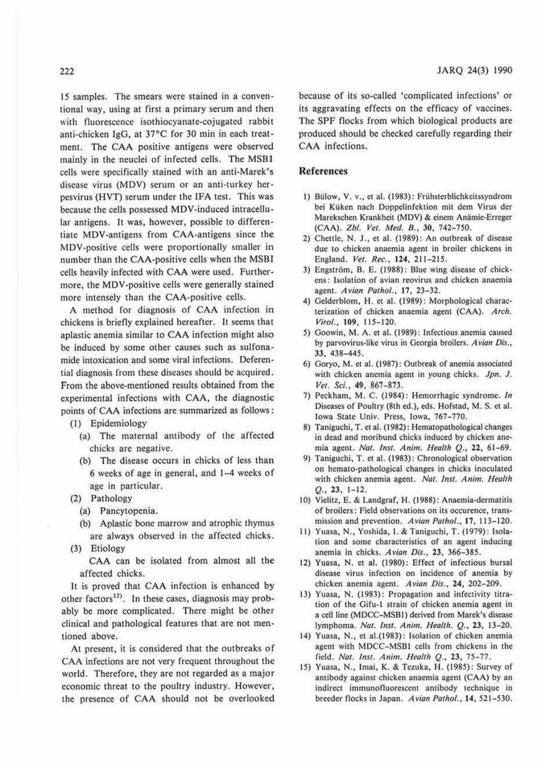15 samples. The smears were stained in a conventional way, using at first a primary serum and then with fluorescence isothiocyanate-cojugated rabbit anti-chicken IgG, at 37°C for 30 min in each treatment. The CAA positive antigens were observed mainly in the neuclei of infected cells. The MSB I cells were specifically stained with an anti-Marek's disease virus (MDV) serum or an anti-turkey herpesvirus (HVT) serum under the !FA test. This was because the cells possessed MDV-induced intracellular antigens. It was, however, possible to differentiate MDV-antigens from CAA-antigens since the MDV-positive cells were proportionally smaller in number than the CAA-positive cells when the MSB1 cells heavily infected with CAA were used. Furthermore, the MDV-positive cells were generally stained more intensely than the CAA-positive cells.

A method for diagnosis of CAA infection in chickens is briefly explained hereafter. It seems that aplastic anemia similar to CAA infection might also be induced by some other causes such as sulfonamide intoxication and some viral infections. Deferential diagnosis from these diseases should be acquired. From the above-mentioned results obtained from the experimental infections with CAA, the diagnostic points of CAA infections are summarized as follows;

(I) Epidemiology

- (a) The maternal antibody of the affected chicks are negative.
- (b) The disease occurs in chicks of less than 6 weeks of age in general, and 1-4 weeks of age in particular.
- (2) Pathology
	- (a) Pancytopenia.
	- (b) Aplastic bone marrow and atrophic thymus are always observed in the affected chicks.
- (3) Etiology

**CAA** can be isolated from almost all **the**  affected chicks.

It is proved that CAA infection is enhanced by other factors<sup>12)</sup>. In these cases, diagnosis may probably be more complicated. There might be other clinical and pathological features that are not mentioned above.

**At** present, it is considered that the outbreaks of CAA infections are not very frequent throughout the world. Therefore, they are not regarded as a major economic threat to the pouliry industry. However, the presence of CAA should not be overlooked

because of its so-called 'complicated infections' or its aggravating effects on the efficacy of vaccines. The SPF flocks from which biological products are produced should be checked carefully regarding their CAA infections.

### **References**

- 1) Bülow, V. v., et al. (1983): Frühsterblichkeitssyndrom bei Küken nach Doppelinfektion mit dem Virus der Marckschen Krankheit (MDV) & einem Anämie-Erreger (CAA). *Zbl. Vet. Med. 8.,* 30, 742-750.
- 2) Chettle, N. J., et al. (1989): An outbreak of disease due to chicken anaemia agent in broiler chickens in England. *Vet. Rec.,* **124,** 211-215.
- 3) Engström, B. E. (1988): Blue wing disease of chickens: Isolation of avian rcovirus and chicken anaemia agent. *Avian Pathol., 11,* 23-32.
- 4) Gelderblom, H. et al. (1989): Morphological characterization of chicken anaemia agent (CAA). *Arch. Virol.,* 109, 115-120.
- 5) Goowin, M. A. et al. (1989): Infectious anemia caused by parvovirus-likc virus in Georgia broilers. *Avian Dis.,*  33, 438-445.
- 6) Goryo, M. e1 al. (1987) : Outbreak of anemia associated with chicken anemia agent in young chicks. Jpn. J. *Vet. Sci.,* 49, 867- 873.
- 7) Peckham, M. C. (1984): Hemorrhagic syndrome. In Diseases of Pouhry (81h ed.), eds. Hofstad, M. S. et al. Iowa Siate Univ. Press, Iowa, 767-770.
- 8) Taniguchi, T. et al. (1982): Hematopathological changes in dead and moribund chicks induced by chicken anemia ageni. *Nat. /11s1. Anim. Health* Q., 22, 61-69.
- 9) Taniguchi, T. et al. (1983): Chronological observation on hemato-pathological changes in chicks inoculated with chicken anemia agent. *Nat. Inst. Anim. Health Q .•* 23, 1-12.
- 10) Vielitz, E. & Landgraf, H. (1988): Anaemia-dermatitis of broilers: Field observations on its occurence, transmission and prevention. *Avian Pathol.,* 17, 113-120.
- 11) Yuasa, **N.,** Yoshida, I. & Taniguchi, T. (1979): Isolation and some characteristics of an agent inducing anemia in chicks. *Avian Dis.,* **23,** 366-385.
- 12) Yuasa, N. et al. (1980); Effect of infectious bursal disease virus infection on incidence of anemia by chicken anemia agent. *Avian Dis.,* **24,** 202-209.
- 13) Yuasa, N. (1983): Propagation and infectivity titration of the Gifu-1 strain of chicken anemia agent in a cell line (MDCC-MSBI) derived from Marek's disease lymphoma. *Nat. Inst. A11im. Health.* Q., 23, 13-20.
- 14) Yuasa, N., e1 al.(1983): Isolation of chicken anemia agent with MDCC-MSBI cells from chickens in 1he field. *Nat. Inst. Anim. Health Q.*, 23, 75-77.
- 15) Yuasa, N., Imai, **K.** & Tezuka, H. (1985) : Survey of antibody against chicken anaemia agent (CAA) by an indirect immunofluorescent antibody technique in breeder flocks in Japan. *Avian Pa1hol.,* **14,** 521-530.